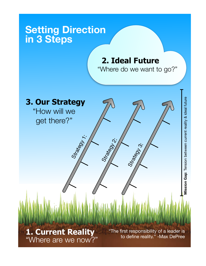## **Setting Direction in 3 Steps**

## **2. Ideal Future**

"Where do we want to go?"

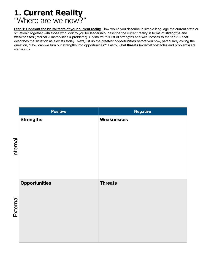**1. Current Reality** "Where are we now?"

**Step 1: Confront the brutal facts of your current reality.** How would you describe in simple language the current state or situation? Together with those who look to you for leadership, describe the current reality in terms of **strengths** and **weaknesses** (internal vulnerabilities & problems). Crystalize this list of strengths and weaknesses to the top 5-8 that describes the situation as it exists today. Next, list up the greatest **opportunities** before you now, particularly asking the question, "How can we turn our strengths into opportunities?" Lastly, what **threats** (*external* obstacles and problems) are we facing?

|          | <b>Positive</b>      | <b>Negative</b>   |
|----------|----------------------|-------------------|
| Internal | <b>Strengths</b>     | <b>Weaknesses</b> |
| External | <b>Opportunities</b> | <b>Threats</b>    |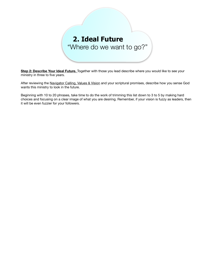## **2. Ideal Future** "Where do we want to go?"

**Step 2: Describe Your Ideal Future.** Together with those you lead describe where you would like to see your ministry in three to five years.

After reviewing the [Navigator Calling, Values & Vision](http://www.navigatorsworldwide.org/Public/About-Us/Our-International-Vision) and your scriptural promises, describe how you sense God wants this ministry to look in the future.

Beginning with 10 to 20 phrases, take time to do the work of trimming this list down to 3 to 5 by making hard choices and focusing on a clear image of what you are desiring. Remember, if your vision is fuzzy as leaders, then it will be even fuzzier for your followers.